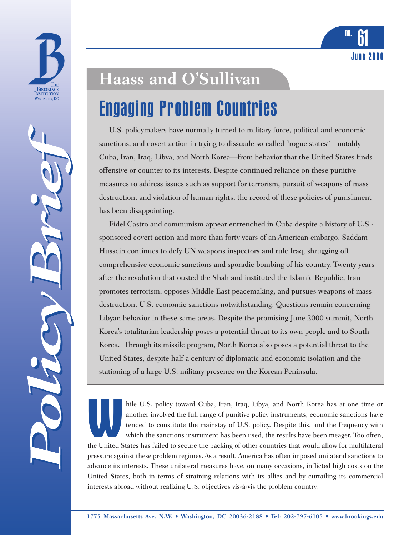



# **Haass and O'Sullivan**

### Engaging Problem Countries

U.S. policymakers have normally turned to military force, political and economic sanctions, and covert action in trying to dissuade so-called "rogue states"—notably Cuba, Iran, Iraq, Libya, and North Korea—from behavior that the United States finds offensive or counter to its interests. Despite continued reliance on these punitive measures to address issues such as support for terrorism, pursuit of weapons of mass destruction, and violation of human rights, the record of these policies of punishment has been disappointing.

June 2000

<sup>no.</sup> 61

Fidel Castro and communism appear entrenched in Cuba despite a history of U.S. sponsored covert action and more than forty years of an American embargo. Saddam Hussein continues to defy UN weapons inspectors and rule Iraq, shrugging off comprehensive economic sanctions and sporadic bombing of his country. Twenty years after the revolution that ousted the Shah and instituted the Islamic Republic, Iran promotes terrorism, opposes Middle East peacemaking, and pursues weapons of mass destruction, U.S. economic sanctions notwithstanding. Questions remain concerning Libyan behavior in these same areas. Despite the promising June 2000 summit, North Korea's totalitarian leadership poses a potential threat to its own people and to South Korea. Through its missile program, North Korea also poses a potential threat to the United States, despite half a century of diplomatic and economic isolation and the stationing of a large U.S. military presence on the Korean Peninsula.

hile U.S. policy toward Cuba, Iran, Iraq, Libya, and North Korea has at one time or another involved the full range of punitive policy instruments, economic sanctions have tended to constitute the mainstay of U.S. policy. Despite this, and the frequency with which the sanctions instrument has been used, the results have been meager. Too often, the United States has failed to secure the backing of other countries that would allow for multilateral pressure against these problem regimes. As a result, America has often imposed unilateral sanctions to advance its interests. These unilateral measures have, on many occasions, inflicted high costs on the United States, both in terms of straining relations with its allies and by curtailing its commercial interests abroad without realizing U.S. objectives vis-à-vis the problem country.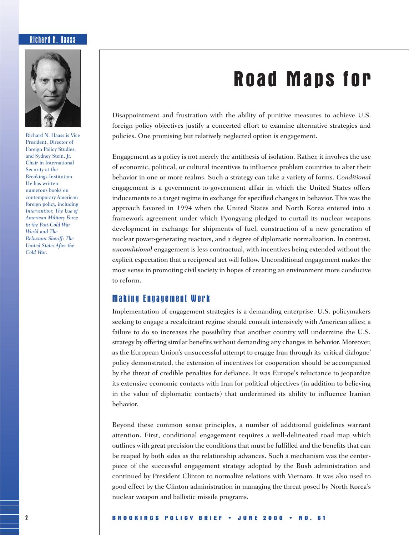#### Richard N. Haass



Richard N. Haass is Vice President, Director of Foreign Policy Studies, and Sydney Stein, Jr. Chair in International Security at the Brookings Institution. He has written numerous books on contemporary American foreign policy, including *Intervention: The Use of American Military Force in the Post-Cold War World* and *The Reluctant Sheriff: The United States After the Cold War*.

## **Road Maps for**

Disappointment and frustration with the ability of punitive measures to achieve U.S. foreign policy objectives justify a concerted effort to examine alternative strategies and policies. One promising but relatively neglected option is engagement.

Engagement as a policy is not merely the antithesis of isolation. Rather, it involves the use of economic, political, or cultural incentives to influence problem countries to alter their behavior in one or more realms. Such a strategy can take a variety of forms. *Conditional* engagement is a government-to-government affair in which the United States offers inducements to a target regime in exchange for specified changes in behavior. This was the approach favored in 1994 when the United States and North Korea entered into a framework agreement under which Pyongyang pledged to curtail its nuclear weapons development in exchange for shipments of fuel, construction of a new generation of nuclear power-generating reactors, and a degree of diplomatic normalization. In contrast, *unconditional* engagement is less contractual, with incentives being extended without the explicit expectation that a reciprocal act will follow. Unconditional engagement makes the most sense in promoting civil society in hopes of creating an environment more conducive to reform.

#### Making Engagement Work

Implementation of engagement strategies is a demanding enterprise. U.S. policymakers seeking to engage a recalcitrant regime should consult intensively with American allies; a failure to do so increases the possibility that another country will undermine the U.S. strategy by offering similar benefits without demanding any changes in behavior. Moreover, as the European Union's unsuccessful attempt to engage Iran through its 'critical dialogue' policy demonstrated, the extension of incentives for cooperation should be accompanied by the threat of credible penalties for defiance. It was Europe's reluctance to jeopardize its extensive economic contacts with Iran for political objectives (in addition to believing in the value of diplomatic contacts) that undermined its ability to influence Iranian behavior.

Beyond these common sense principles, a number of additional guidelines warrant attention. First, conditional engagement requires a well-delineated road map which outlines with great precision the conditions that must be fulfilled and the benefits that can be reaped by both sides as the relationship advances. Such a mechanism was the centerpiece of the successful engagement strategy adopted by the Bush administration and continued by President Clinton to normalize relations with Vietnam. It was also used to good effect by the Clinton administration in managing the threat posed by North Korea's nuclear weapon and ballistic missile programs.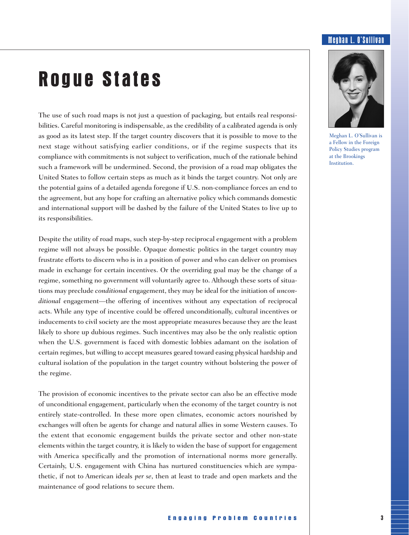#### Meghan L. O'Sullivan

### **Rogue States**

The use of such road maps is not just a question of packaging, but entails real responsibilities. Careful monitoring is indispensable, as the credibility of a calibrated agenda is only as good as its latest step. If the target country discovers that it is possible to move to the next stage without satisfying earlier conditions, or if the regime suspects that its compliance with commitments is not subject to verification, much of the rationale behind such a framework will be undermined. Second, the provision of a road map obligates the United States to follow certain steps as much as it binds the target country. Not only are the potential gains of a detailed agenda foregone if U.S. non-compliance forces an end to the agreement, but any hope for crafting an alternative policy which commands domestic and international support will be dashed by the failure of the United States to live up to its responsibilities.

Despite the utility of road maps, such step-by-step reciprocal engagement with a problem regime will not always be possible. Opaque domestic politics in the target country may frustrate efforts to discern who is in a position of power and who can deliver on promises made in exchange for certain incentives. Or the overriding goal may be the change of a regime, something no government will voluntarily agree to. Although these sorts of situations may preclude *conditional* engagement, they may be ideal for the initiation of *unconditional* engagement—the offering of incentives without any expectation of reciprocal acts. While any type of incentive could be offered unconditionally, cultural incentives or inducements to civil society are the most appropriate measures because they are the least likely to shore up dubious regimes. Such incentives may also be the only realistic option when the U.S. government is faced with domestic lobbies adamant on the isolation of certain regimes, but willing to accept measures geared toward easing physical hardship and cultural isolation of the population in the target country without bolstering the power of the regime.

The provision of economic incentives to the private sector can also be an effective mode of unconditional engagement, particularly when the economy of the target country is not entirely state-controlled. In these more open climates, economic actors nourished by exchanges will often be agents for change and natural allies in some Western causes. To the extent that economic engagement builds the private sector and other non-state elements within the target country, it is likely to widen the base of support for engagement with America specifically and the promotion of international norms more generally. Certainly, U.S. engagement with China has nurtured constituencies which are sympathetic, if not to American ideals *per se*, then at least to trade and open markets and the maintenance of good relations to secure them.



Meghan L. O'Sullivan is a Fellow in the Foreign Policy Studies program at the Brookings Institution.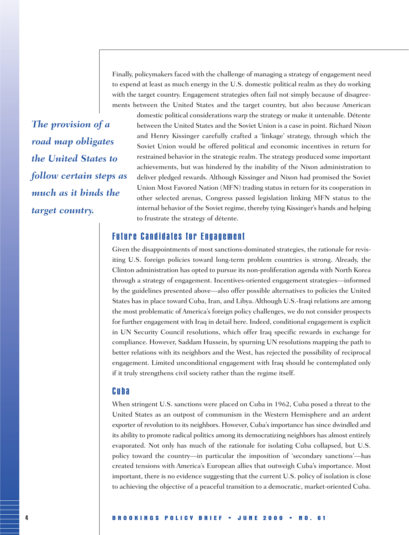Finally, policymakers faced with the challenge of managing a strategy of engagement need to expend at least as much energy in the U.S. domestic political realm as they do working with the target country. Engagement strategies often fail not simply because of disagreements between the United States and the target country, but also because American

*The provision of a road map obligates the United States to follow certain steps as much as it binds the target country.*

domestic political considerations warp the strategy or make it untenable. Détente between the United States and the Soviet Union is a case in point. Richard Nixon and Henry Kissinger carefully crafted a 'linkage' strategy, through which the Soviet Union would be offered political and economic incentives in return for restrained behavior in the strategic realm. The strategy produced some important achievements, but was hindered by the inability of the Nixon administration to deliver pledged rewards. Although Kissinger and Nixon had promised the Soviet Union Most Favored Nation (MFN) trading status in return for its cooperation in other selected arenas, Congress passed legislation linking MFN status to the internal behavior of the Soviet regime, thereby tying Kissinger's hands and helping to frustrate the strategy of détente.

#### Future Candidates for Engagement

Given the disappointments of most sanctions-dominated strategies, the rationale for revisiting U.S. foreign policies toward long-term problem countries is strong. Already, the Clinton administration has opted to pursue its non-proliferation agenda with North Korea through a strategy of engagement. Incentives-oriented engagement strategies—informed by the guidelines presented above—also offer possible alternatives to policies the United States has in place toward Cuba, Iran, and Libya. Although U.S.-Iraqi relations are among the most problematic of America's foreign policy challenges, we do not consider prospects for further engagement with Iraq in detail here. Indeed, conditional engagement is explicit in UN Security Council resolutions, which offer Iraq specific rewards in exchange for compliance. However, Saddam Hussein, by spurning UN resolutions mapping the path to better relations with its neighbors and the West, has rejected the possibility of reciprocal engagement. Limited unconditional engagement with Iraq should be contemplated only if it truly strengthens civil society rather than the regime itself.

#### Cuba

When stringent U.S. sanctions were placed on Cuba in 1962, Cuba posed a threat to the United States as an outpost of communism in the Western Hemisphere and an ardent exporter of revolution to its neighbors. However, Cuba's importance has since dwindled and its ability to promote radical politics among its democratizing neighbors has almost entirely evaporated. Not only has much of the rationale for isolating Cuba collapsed, but U.S. policy toward the country—in particular the imposition of 'secondary sanctions'—has created tensions with America's European allies that outweigh Cuba's importance. Most important, there is no evidence suggesting that the current U.S. policy of isolation is close to achieving the objective of a peaceful transition to a democratic, market-oriented Cuba.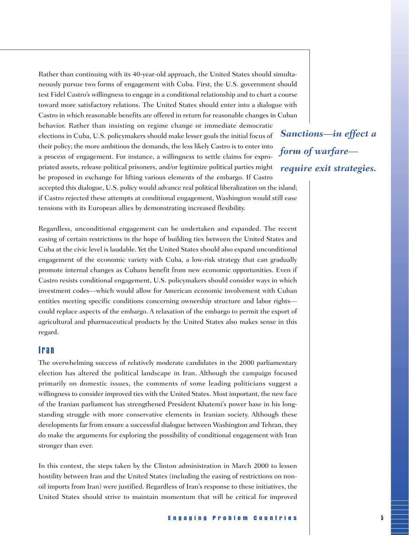Rather than continuing with its 40-year-old approach, the United States should simultaneously pursue two forms of engagement with Cuba. First, the U.S. government should test Fidel Castro's willingness to engage in a conditional relationship and to chart a course toward more satisfactory relations. The United States should enter into a dialogue with Castro in which reasonable benefits are offered in return for reasonable changes in Cuban behavior. Rather than insisting on regime change or immediate democratic elections in Cuba, U.S. policymakers should make lesser goals the initial focus of their policy; the more ambitious the demands, the less likely Castro is to enter into a process of engagement. For instance, a willingness to settle claims for expropriated assets, release political prisoners, and/or legitimize political parties might be proposed in exchange for lifting various elements of the embargo. If Castro accepted this dialogue, U.S. policy would advance real political liberalization on the island;

if Castro rejected these attempts at conditional engagement, Washington would still ease tensions with its European allies by demonstrating increased flexibility.

Regardless, unconditional engagement can be undertaken and expanded. The recent easing of certain restrictions in the hope of building ties between the United States and Cuba at the civic level is laudable. Yet the United States should also expand unconditional engagement of the economic variety with Cuba, a low-risk strategy that can gradually promote internal changes as Cubans benefit from new economic opportunities. Even if Castro resists conditional engagement, U.S. policymakers should consider ways in which investment codes—which would allow for American economic involvement with Cuban entities meeting specific conditions concerning ownership structure and labor rights could replace aspects of the embargo. A relaxation of the embargo to permit the export of agricultural and pharmaceutical products by the United States also makes sense in this regard.

#### Iran

The overwhelming success of relatively moderate candidates in the 2000 parliamentary election has altered the political landscape in Iran. Although the campaign focused primarily on domestic issues, the comments of some leading politicians suggest a willingness to consider improved ties with the United States. Most important, the new face of the Iranian parliament has strengthened President Khatemi's power base in his longstanding struggle with more conservative elements in Iranian society. Although these developments far from ensure a successful dialogue between Washington and Tehran, they do make the arguments for exploring the possibility of conditional engagement with Iran stronger than ever.

In this context, the steps taken by the Clinton administration in March 2000 to lessen hostility between Iran and the United States (including the easing of restrictions on nonoil imports from Iran) were justified. Regardless of Iran's response to these initiatives, the United States should strive to maintain momentum that will be critical for improved

*Sanctions—in effect a form of warfare require exit strategies.*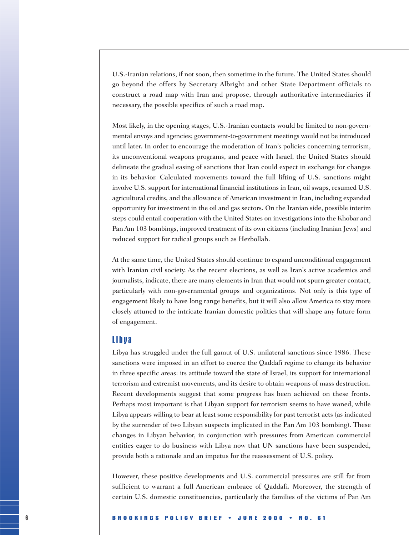U.S.-Iranian relations, if not soon, then sometime in the future. The United States should go beyond the offers by Secretary Albright and other State Department officials to construct a road map with Iran and propose, through authoritative intermediaries if necessary, the possible specifics of such a road map.

Most likely, in the opening stages, U.S.-Iranian contacts would be limited to non-governmental envoys and agencies; government-to-government meetings would not be introduced until later. In order to encourage the moderation of Iran's policies concerning terrorism, its unconventional weapons programs, and peace with Israel, the United States should delineate the gradual easing of sanctions that Iran could expect in exchange for changes in its behavior. Calculated movements toward the full lifting of U.S. sanctions might involve U.S. support for international financial institutions in Iran, oil swaps, resumed U.S. agricultural credits, and the allowance of American investment in Iran, including expanded opportunity for investment in the oil and gas sectors. On the Iranian side, possible interim steps could entail cooperation with the United States on investigations into the Khobar and Pan Am 103 bombings, improved treatment of its own citizens (including Iranian Jews) and reduced support for radical groups such as Hezbollah.

At the same time, the United States should continue to expand unconditional engagement with Iranian civil society. As the recent elections, as well as Iran's active academics and journalists, indicate, there are many elements in Iran that would not spurn greater contact, particularly with non-governmental groups and organizations. Not only is this type of engagement likely to have long range benefits, but it will also allow America to stay more closely attuned to the intricate Iranian domestic politics that will shape any future form of engagement.

#### Libya

Libya has struggled under the full gamut of U.S. unilateral sanctions since 1986. These sanctions were imposed in an effort to coerce the Qaddafi regime to change its behavior in three specific areas: its attitude toward the state of Israel, its support for international terrorism and extremist movements, and its desire to obtain weapons of mass destruction. Recent developments suggest that some progress has been achieved on these fronts. Perhaps most important is that Libyan support for terrorism seems to have waned, while Libya appears willing to bear at least some responsibility for past terrorist acts (as indicated by the surrender of two Libyan suspects implicated in the Pan Am 103 bombing). These changes in Libyan behavior, in conjunction with pressures from American commercial entities eager to do business with Libya now that UN sanctions have been suspended, provide both a rationale and an impetus for the reassessment of U.S. policy.

However, these positive developments and U.S. commercial pressures are still far from sufficient to warrant a full American embrace of Qaddafi. Moreover, the strength of certain U.S. domestic constituencies, particularly the families of the victims of Pan Am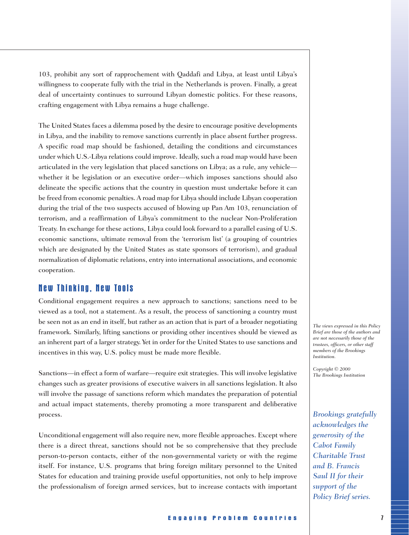103, prohibit any sort of rapprochement with Qaddafi and Libya, at least until Libya's willingness to cooperate fully with the trial in the Netherlands is proven. Finally, a great deal of uncertainty continues to surround Libyan domestic politics. For these reasons, crafting engagement with Libya remains a huge challenge.

The United States faces a dilemma posed by the desire to encourage positive developments in Libya, and the inability to remove sanctions currently in place absent further progress. A specific road map should be fashioned, detailing the conditions and circumstances under which U.S.-Libya relations could improve. Ideally, such a road map would have been articulated in the very legislation that placed sanctions on Libya; as a rule, any vehicle whether it be legislation or an executive order—which imposes sanctions should also delineate the specific actions that the country in question must undertake before it can be freed from economic penalties. A road map for Libya should include Libyan cooperation during the trial of the two suspects accused of blowing up Pan Am 103, renunciation of terrorism, and a reaffirmation of Libya's commitment to the nuclear Non-Proliferation Treaty. In exchange for these actions, Libya could look forward to a parallel easing of U.S. economic sanctions, ultimate removal from the 'terrorism list' (a grouping of countries which are designated by the United States as state sponsors of terrorism), and gradual normalization of diplomatic relations, entry into international associations, and economic cooperation.

#### New Thinking, New Tools

Conditional engagement requires a new approach to sanctions; sanctions need to be viewed as a tool, not a statement. As a result, the process of sanctioning a country must be seen not as an end in itself, but rather as an action that is part of a broader negotiating framework. Similarly, lifting sanctions or providing other incentives should be viewed as an inherent part of a larger strategy. Yet in order for the United States to use sanctions and incentives in this way, U.S. policy must be made more flexible.

Sanctions—in effect a form of warfare—require exit strategies. This will involve legislative changes such as greater provisions of executive waivers in all sanctions legislation. It also will involve the passage of sanctions reform which mandates the preparation of potential and actual impact statements, thereby promoting a more transparent and deliberative process.

Unconditional engagement will also require new, more flexible approaches. Except where there is a direct threat, sanctions should not be so comprehensive that they preclude person-to-person contacts, either of the non-governmental variety or with the regime itself. For instance, U.S. programs that bring foreign military personnel to the United States for education and training provide useful opportunities, not only to help improve the professionalism of foreign armed services, but to increase contacts with important

*The views expressed in this Policy Brief are those of the authors and are not necessarily those of the trustees, officers, or other staff members of the Brookings Institution.* 

*Copyright © 2000 The Brookings Institution*

*Brookings gratefully acknowledges the generosity of the Cabot Family Charitable Trust and B. Francis Saul II for their support of the Policy Brief series.*